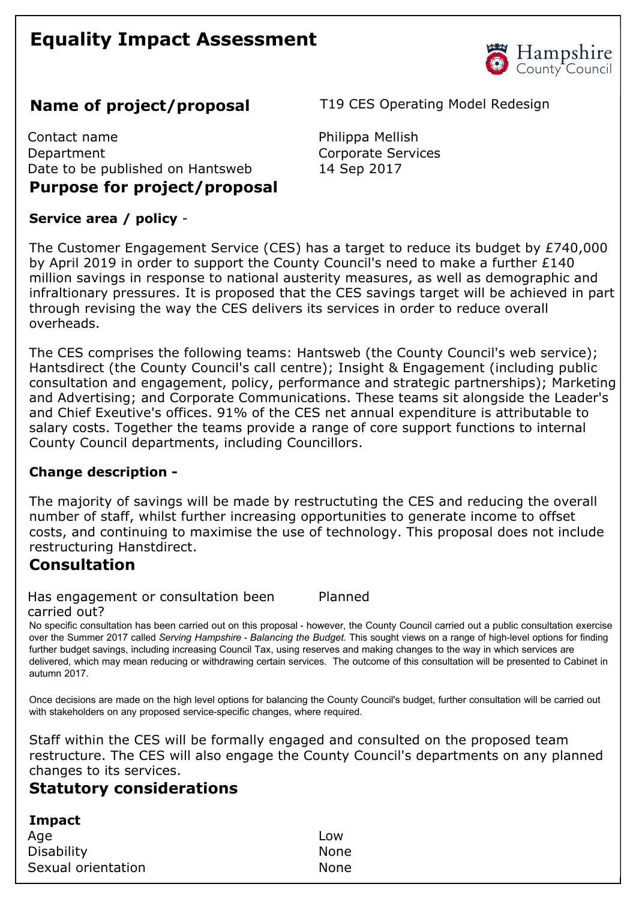# **Equality Impact Assessment**



# **Name of project/proposal** T19 CES Operating Model Redesign

Contact name **Philippa Mellish** Department Corporate Services Date to be published on Hantsweb 14 Sep 2017 **Purpose for project/proposal** 

# **Service area / policy**

The Customer Engagement Service (CES) has a target to reduce its budget by £740,000 by April 2019 in order to support the County Council's need to make a further £140 million savings in response to national austerity measures, as well as demographic and infraltionary pressures. It is proposed that the CES savings target will be achieved in part through revising the way the CES delivers its services in order to reduce overall overheads.

The CES comprises the following teams: Hantsweb (the County Council's web service); Hantsdirect (the County Council's call centre); Insight & Engagement (including public consultation and engagement, policy, performance and strategic partnerships); Marketing and Advertising; and Corporate Communications. These teams sit alongside the Leader's and Chief Exeutive's offices. 91% of the CES net annual expenditure is attributable to salary costs. Together the teams provide a range of core support functions to internal County Council departments, including Councillors.

#### **Change description**

The majority of savings will be made by restructuting the CES and reducing the overall number of staff, whilst further increasing opportunities to generate income to offset costs, and continuing to maximise the use of technology. This proposal does not include restructuring Hanstdirect.

## **Consultation**

Has engagement or consultation been carried out?

No specific consultation has been carried out on this proposal - however, the County Council carried out a public consultation exercise over the Summer 2017 called *Serving Hampshire - Balancing the Budget*. This sought views on a range of high-level options for finding further budget savings, including increasing Council Tax, using reserves and making changes to the way in which services are delivered, which may mean reducing or withdrawing certain services. The outcome of this consultation will be presented to Cabinet in autumn 2017.

Planned

Once decisions are made on the high level options for balancing the County Council's budget, further consultation will be carried out with stakeholders on any proposed service-specific changes, where required.

Staff within the CES will be formally engaged and consulted on the proposed team restructure. The CES will also engage the County Council's departments on any planned changes to its services.

## **Statutory considerations**

| Impact             |      |
|--------------------|------|
| Age                | Low  |
| <b>Disability</b>  | None |
| Sexual orientation | None |